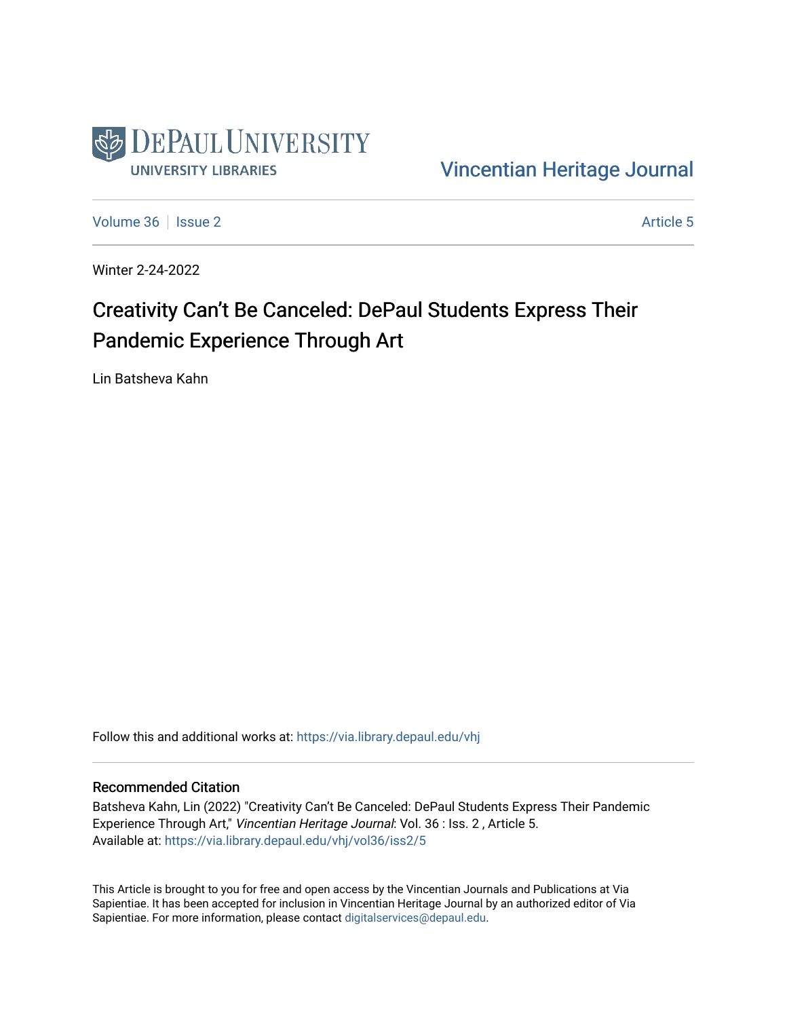

[Vincentian Heritage Journal](https://via.library.depaul.edu/vhj) 

[Volume 36](https://via.library.depaul.edu/vhj/vol36) | [Issue 2](https://via.library.depaul.edu/vhj/vol36/iss2) Article 5

Winter 2-24-2022

## Creativity Can't Be Canceled: DePaul Students Express Their Pandemic Experience Through Art

Lin Batsheva Kahn

Follow this and additional works at: [https://via.library.depaul.edu/vhj](https://via.library.depaul.edu/vhj?utm_source=via.library.depaul.edu%2Fvhj%2Fvol36%2Fiss2%2F5&utm_medium=PDF&utm_campaign=PDFCoverPages) 

## Recommended Citation

Batsheva Kahn, Lin (2022) "Creativity Can't Be Canceled: DePaul Students Express Their Pandemic Experience Through Art," Vincentian Heritage Journal: Vol. 36 : Iss. 2 , Article 5. Available at: [https://via.library.depaul.edu/vhj/vol36/iss2/5](https://via.library.depaul.edu/vhj/vol36/iss2/5?utm_source=via.library.depaul.edu%2Fvhj%2Fvol36%2Fiss2%2F5&utm_medium=PDF&utm_campaign=PDFCoverPages) 

This Article is brought to you for free and open access by the Vincentian Journals and Publications at Via Sapientiae. It has been accepted for inclusion in Vincentian Heritage Journal by an authorized editor of Via Sapientiae. For more information, please contact [digitalservices@depaul.edu](mailto:digitalservices@depaul.edu).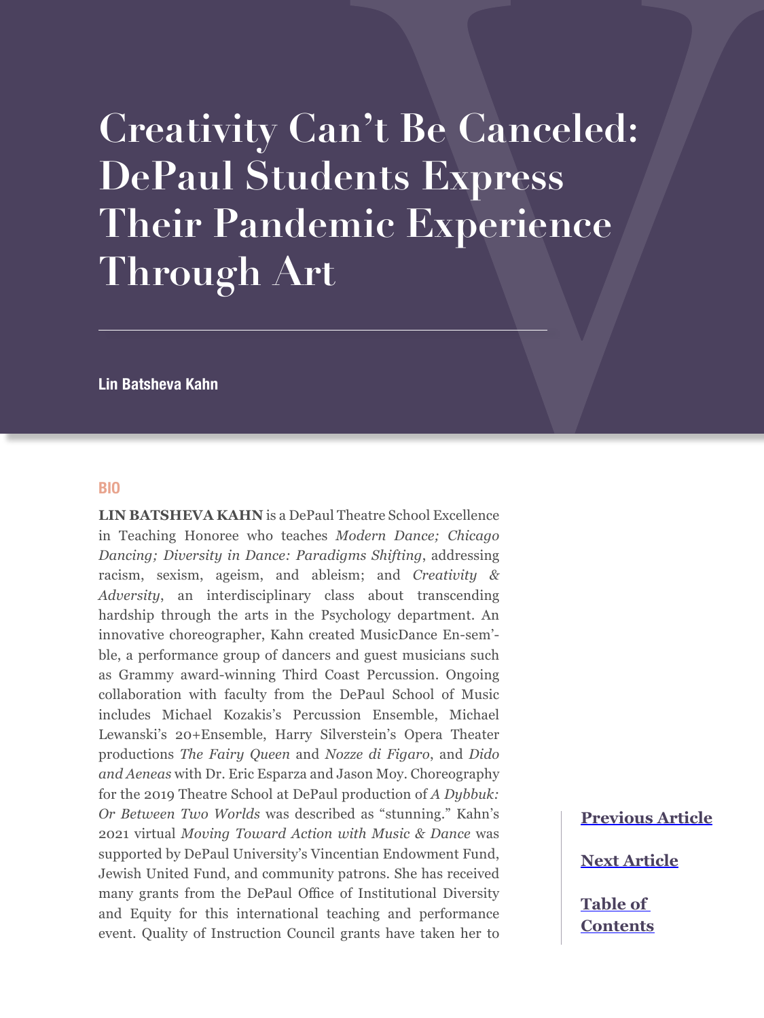## **Creativity Can't Be Canceled: DePaul Students Express Their Pandemic Experience Through Art**

**Lin Batsheva Kahn**

## **BIO**

**LIN BATSHEVA KAHN** is a DePaul Theatre School Excellence in Teaching Honoree who teaches *Modern Dance; Chicago Dancing; Diversity in Dance: Paradigms Shifting*, addressing racism, sexism, ageism, and ableism; and *Creativity & Adversity*, an interdisciplinary class about transcending hardship through the arts in the Psychology department. An innovative choreographer, Kahn created MusicDance En-sem' ble, a performance group of dancers and guest musicians such as Grammy award-winning Third Coast Percussion. Ongoing collaboration with faculty from the DePaul School of Music includes Michael Kozakis's Percussion Ensemble, Michael Lewanski's 20+Ensemble, Harry Silverstein's Opera Theater productions *The Fairy Queen* and *Nozze di Figaro*, and *Dido and Aeneas* with Dr. Eric Esparza and Jason Moy. Choreography for the 2019 Theatre School at DePaul production of *A Dybbuk: Or Between Two Worlds* was described as "stunning." Kahn's 2021 virtual *Moving Toward Action with Music & Dance* was supported by DePaul University's Vincentian Endowment Fund, Jewish United Fund, and community patrons. She has received many grants from the DePaul Office of Institutional Diversity and Equity for this international teaching and performance event. Quality of Instruction Council grants have taken her to

**[Previous Article](#page--1-0)**

**[Next Article](#page--1-0)**

**[Table of](#page--1-0)  [Contents](#page--1-0)**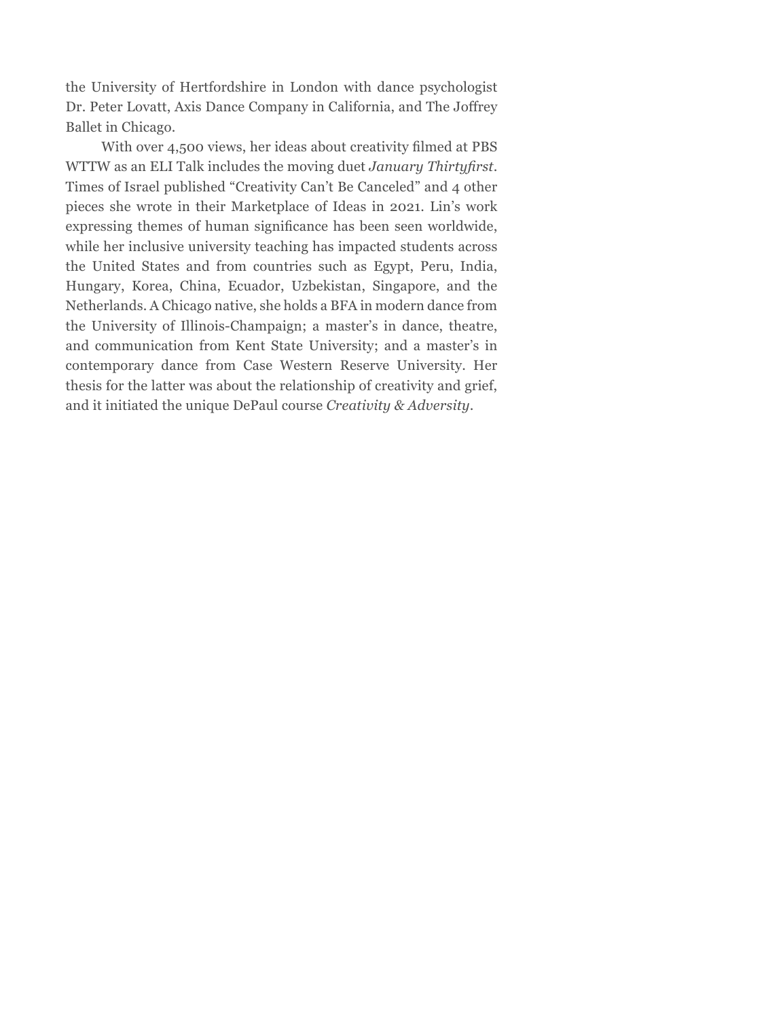the University of Hertfordshire in London with dance psychologist Dr. Peter Lovatt, Axis Dance Company in California, and The Joffrey Ballet in Chicago.

With over 4,500 views, her ideas about creativity filmed at PBS WTTW as an ELI Talk includes the moving duet *January Thirtyfirst*. Times of Israel published "Creativity Can't Be Canceled" and 4 other pieces she wrote in their Marketplace of Ideas in 2021. Lin's work expressing themes of human significance has been seen worldwide, while her inclusive university teaching has impacted students across the United States and from countries such as Egypt, Peru, India, Hungary, Korea, China, Ecuador, Uzbekistan, Singapore, and the Netherlands. A Chicago native, she holds a BFA in modern dance from the University of Illinois-Champaign; a master's in dance, theatre, and communication from Kent State University; and a master's in contemporary dance from Case Western Reserve University. Her thesis for the latter was about the relationship of creativity and grief, and it initiated the unique DePaul course *Creativity & Adversity*.